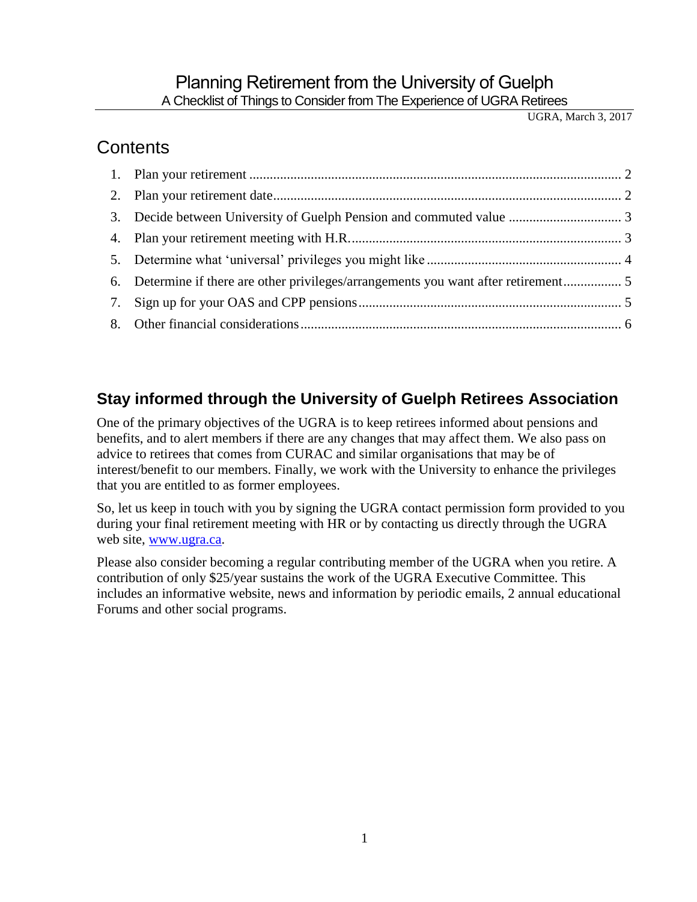# Planning Retirement from the University of Guelph

A Checklist of Things to Consider from The Experience of UGRA Retirees

UGRA, March 3, 2017

# **Contents**

## **Stay informed through the University of Guelph Retirees Association**

One of the primary objectives of the UGRA is to keep retirees informed about pensions and benefits, and to alert members if there are any changes that may affect them. We also pass on advice to retirees that comes from CURAC and similar organisations that may be of interest/benefit to our members. Finally, we work with the University to enhance the privileges that you are entitled to as former employees.

So, let us keep in touch with you by signing the UGRA contact permission form provided to you during your final retirement meeting with HR or by contacting us directly through the UGRA web site, [www.ugra.ca.](http://www.ugra.ca/)

Please also consider becoming a regular contributing member of the UGRA when you retire. A contribution of only \$25/year sustains the work of the UGRA Executive Committee. This includes an informative website, news and information by periodic emails, 2 annual educational Forums and other social programs.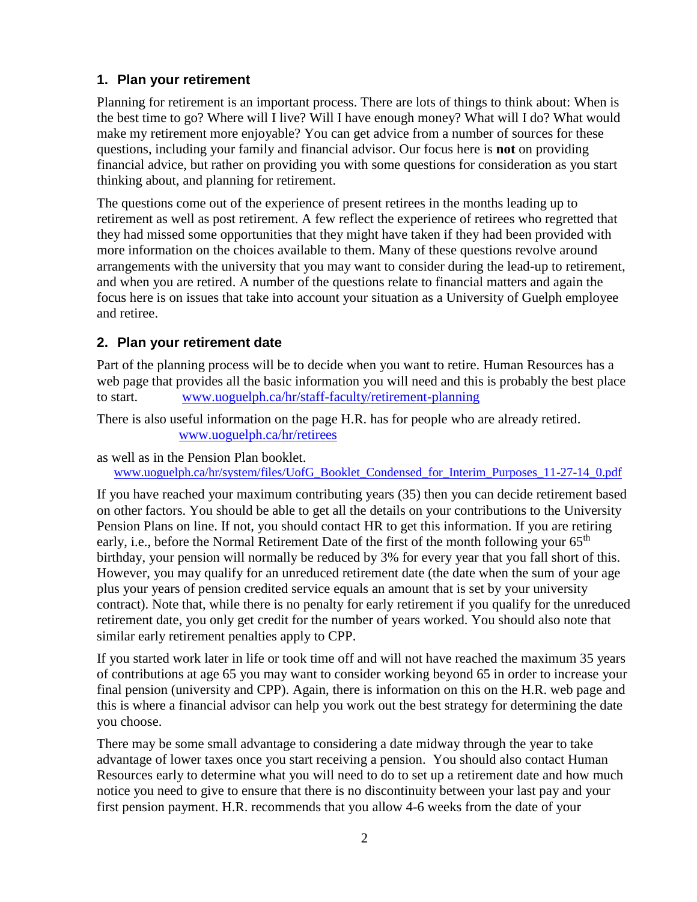## <span id="page-1-0"></span>**1. Plan your retirement**

Planning for retirement is an important process. There are lots of things to think about: When is the best time to go? Where will I live? Will I have enough money? What will I do? What would make my retirement more enjoyable? You can get advice from a number of sources for these questions, including your family and financial advisor. Our focus here is **not** on providing financial advice, but rather on providing you with some questions for consideration as you start thinking about, and planning for retirement.

The questions come out of the experience of present retirees in the months leading up to retirement as well as post retirement. A few reflect the experience of retirees who regretted that they had missed some opportunities that they might have taken if they had been provided with more information on the choices available to them. Many of these questions revolve around arrangements with the university that you may want to consider during the lead-up to retirement, and when you are retired. A number of the questions relate to financial matters and again the focus here is on issues that take into account your situation as a University of Guelph employee and retiree.

### <span id="page-1-1"></span>**2. Plan your retirement date**

Part of the planning process will be to decide when you want to retire. Human Resources has a web page that provides all the basic information you will need and this is probably the best place to start. [www.uoguelph.ca/hr/staff-faculty/retirement-planning](https://www.uoguelph.ca/hr/staff-faculty/retirement-planning)

There is also useful information on the page H.R. has for people who are already retired. [www.uoguelph.ca/hr/retirees](https://www.uoguelph.ca/hr/retirees)

as well as in the Pension Plan booklet. [www.uoguelph.ca/hr/system/files/UofG\\_Booklet\\_Condensed\\_for\\_Interim\\_Purposes\\_11-27-14\\_0.pdf](https://www.uoguelph.ca/hr/system/files/UofG_Booklet_Condensed_for_Interim_Purposes_11-27-14_0.pdf)

If you have reached your maximum contributing years (35) then you can decide retirement based on other factors. You should be able to get all the details on your contributions to the University Pension Plans on line. If not, you should contact HR to get this information. If you are retiring early, i.e., before the Normal Retirement Date of the first of the month following your 65<sup>th</sup> birthday, your pension will normally be reduced by 3% for every year that you fall short of this. However, you may qualify for an unreduced retirement date (the date when the sum of your age plus your years of pension credited service equals an amount that is set by your university contract). Note that, while there is no penalty for early retirement if you qualify for the unreduced retirement date, you only get credit for the number of years worked. You should also note that similar early retirement penalties apply to CPP.

If you started work later in life or took time off and will not have reached the maximum 35 years of contributions at age 65 you may want to consider working beyond 65 in order to increase your final pension (university and CPP). Again, there is information on this on the H.R. web page and this is where a financial advisor can help you work out the best strategy for determining the date you choose.

There may be some small advantage to considering a date midway through the year to take advantage of lower taxes once you start receiving a pension. You should also contact Human Resources early to determine what you will need to do to set up a retirement date and how much notice you need to give to ensure that there is no discontinuity between your last pay and your first pension payment. H.R. recommends that you allow 4-6 weeks from the date of your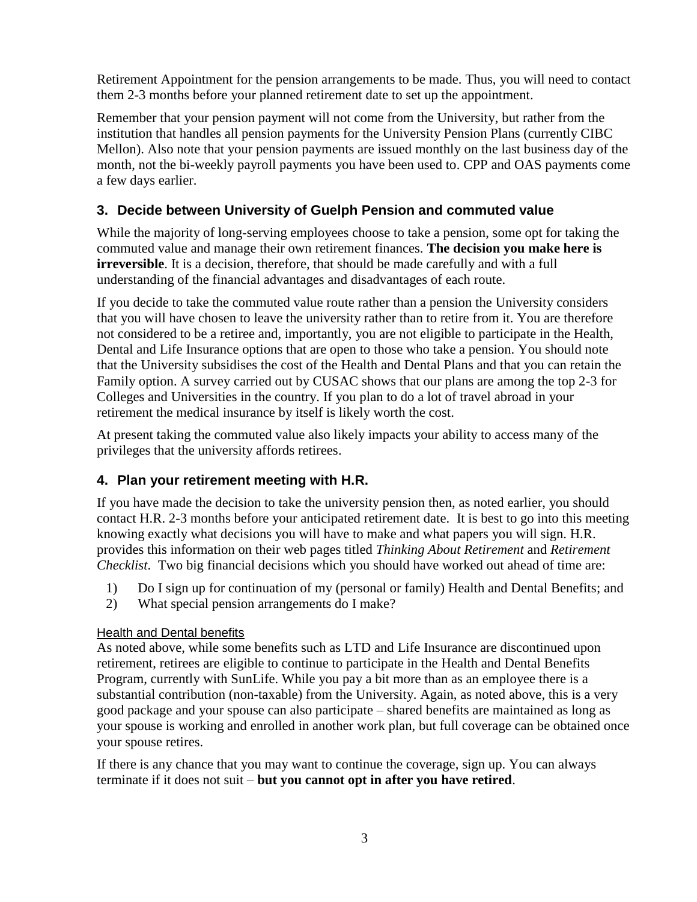Retirement Appointment for the pension arrangements to be made. Thus, you will need to contact them 2-3 months before your planned retirement date to set up the appointment.

Remember that your pension payment will not come from the University, but rather from the institution that handles all pension payments for the University Pension Plans (currently CIBC Mellon). Also note that your pension payments are issued monthly on the last business day of the month, not the bi-weekly payroll payments you have been used to. CPP and OAS payments come a few days earlier.

## <span id="page-2-0"></span>**3. Decide between University of Guelph Pension and commuted value**

While the majority of long-serving employees choose to take a pension, some opt for taking the commuted value and manage their own retirement finances. **The decision you make here is irreversible**. It is a decision, therefore, that should be made carefully and with a full understanding of the financial advantages and disadvantages of each route.

If you decide to take the commuted value route rather than a pension the University considers that you will have chosen to leave the university rather than to retire from it. You are therefore not considered to be a retiree and, importantly, you are not eligible to participate in the Health, Dental and Life Insurance options that are open to those who take a pension. You should note that the University subsidises the cost of the Health and Dental Plans and that you can retain the Family option. A survey carried out by CUSAC shows that our plans are among the top 2-3 for Colleges and Universities in the country. If you plan to do a lot of travel abroad in your retirement the medical insurance by itself is likely worth the cost.

At present taking the commuted value also likely impacts your ability to access many of the privileges that the university affords retirees.

## <span id="page-2-1"></span>**4. Plan your retirement meeting with H.R.**

If you have made the decision to take the university pension then, as noted earlier, you should contact H.R. 2-3 months before your anticipated retirement date. It is best to go into this meeting knowing exactly what decisions you will have to make and what papers you will sign. H.R. provides this information on their web pages titled *Thinking About Retirement* and *Retirement Checklist*. Two big financial decisions which you should have worked out ahead of time are:

- 1) Do I sign up for continuation of my (personal or family) Health and Dental Benefits; and
- 2) What special pension arrangements do I make?

#### Health and Dental benefits

As noted above, while some benefits such as LTD and Life Insurance are discontinued upon retirement, retirees are eligible to continue to participate in the Health and Dental Benefits Program, currently with SunLife. While you pay a bit more than as an employee there is a substantial contribution (non-taxable) from the University. Again, as noted above, this is a very good package and your spouse can also participate – shared benefits are maintained as long as your spouse is working and enrolled in another work plan, but full coverage can be obtained once your spouse retires.

If there is any chance that you may want to continue the coverage, sign up. You can always terminate if it does not suit – **but you cannot opt in after you have retired**.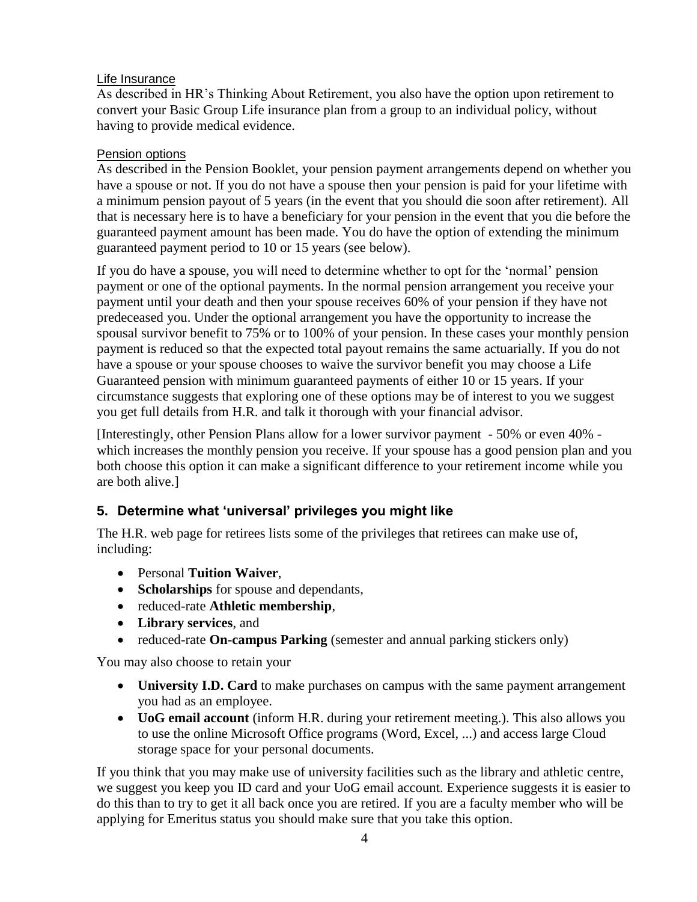#### Life Insurance

As described in HR's Thinking About Retirement, you also have the option upon retirement to convert your Basic Group Life insurance plan from a group to an individual policy, without having to provide medical evidence.

#### Pension options

As described in the Pension Booklet, your pension payment arrangements depend on whether you have a spouse or not. If you do not have a spouse then your pension is paid for your lifetime with a minimum pension payout of 5 years (in the event that you should die soon after retirement). All that is necessary here is to have a beneficiary for your pension in the event that you die before the guaranteed payment amount has been made. You do have the option of extending the minimum guaranteed payment period to 10 or 15 years (see below).

If you do have a spouse, you will need to determine whether to opt for the 'normal' pension payment or one of the optional payments. In the normal pension arrangement you receive your payment until your death and then your spouse receives 60% of your pension if they have not predeceased you. Under the optional arrangement you have the opportunity to increase the spousal survivor benefit to 75% or to 100% of your pension. In these cases your monthly pension payment is reduced so that the expected total payout remains the same actuarially. If you do not have a spouse or your spouse chooses to waive the survivor benefit you may choose a Life Guaranteed pension with minimum guaranteed payments of either 10 or 15 years. If your circumstance suggests that exploring one of these options may be of interest to you we suggest you get full details from H.R. and talk it thorough with your financial advisor.

[Interestingly, other Pension Plans allow for a lower survivor payment - 50% or even 40% which increases the monthly pension you receive. If your spouse has a good pension plan and you both choose this option it can make a significant difference to your retirement income while you are both alive.]

## <span id="page-3-0"></span>**5. Determine what 'universal' privileges you might like**

The H.R. web page for retirees lists some of the privileges that retirees can make use of, including:

- Personal **Tuition Waiver**,
- **Scholarships** for spouse and dependants,
- reduced-rate **Athletic membership**,
- **Library services**, and
- reduced-rate **On-campus Parking** (semester and annual parking stickers only)

You may also choose to retain your

- **University I.D. Card** to make purchases on campus with the same payment arrangement you had as an employee.
- **UoG email account** (inform H.R. during your retirement meeting.). This also allows you to use the online Microsoft Office programs (Word, Excel, ...) and access large Cloud storage space for your personal documents.

If you think that you may make use of university facilities such as the library and athletic centre, we suggest you keep you ID card and your UoG email account. Experience suggests it is easier to do this than to try to get it all back once you are retired. If you are a faculty member who will be applying for Emeritus status you should make sure that you take this option.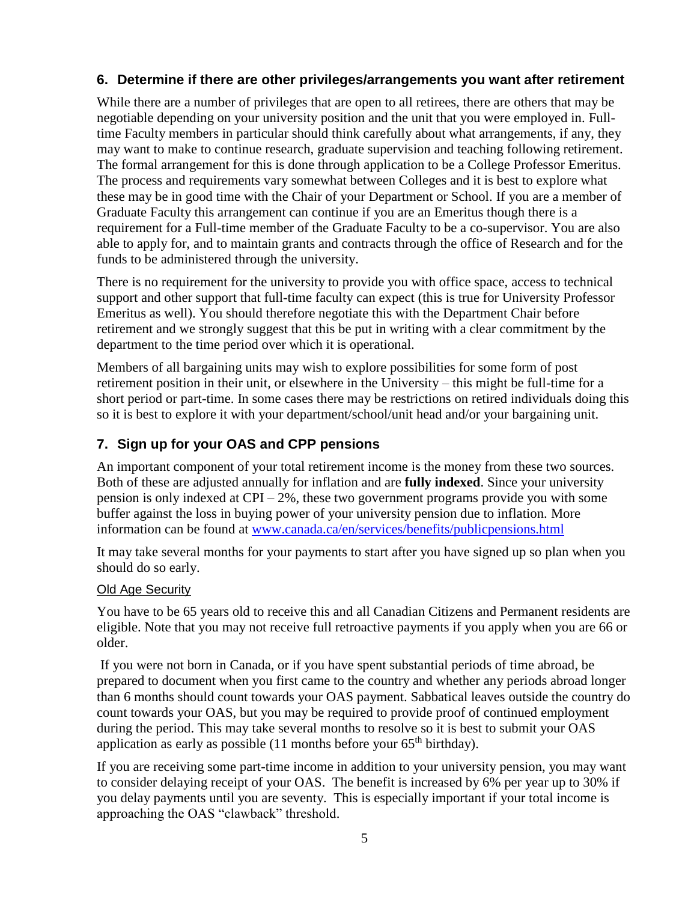### <span id="page-4-0"></span>**6. Determine if there are other privileges/arrangements you want after retirement**

While there are a number of privileges that are open to all retirees, there are others that may be negotiable depending on your university position and the unit that you were employed in. Fulltime Faculty members in particular should think carefully about what arrangements, if any, they may want to make to continue research, graduate supervision and teaching following retirement. The formal arrangement for this is done through application to be a College Professor Emeritus. The process and requirements vary somewhat between Colleges and it is best to explore what these may be in good time with the Chair of your Department or School. If you are a member of Graduate Faculty this arrangement can continue if you are an Emeritus though there is a requirement for a Full-time member of the Graduate Faculty to be a co-supervisor. You are also able to apply for, and to maintain grants and contracts through the office of Research and for the funds to be administered through the university.

There is no requirement for the university to provide you with office space, access to technical support and other support that full-time faculty can expect (this is true for University Professor Emeritus as well). You should therefore negotiate this with the Department Chair before retirement and we strongly suggest that this be put in writing with a clear commitment by the department to the time period over which it is operational.

Members of all bargaining units may wish to explore possibilities for some form of post retirement position in their unit, or elsewhere in the University – this might be full-time for a short period or part-time. In some cases there may be restrictions on retired individuals doing this so it is best to explore it with your department/school/unit head and/or your bargaining unit.

## <span id="page-4-1"></span>**7. Sign up for your OAS and CPP pensions**

An important component of your total retirement income is the money from these two sources. Both of these are adjusted annually for inflation and are **fully indexed**. Since your university pension is only indexed at  $CPI - 2\%$ , these two government programs provide you with some buffer against the loss in buying power of your university pension due to inflation. More information can be found at [www.canada.ca/en/services/benefits/publicpensions.html](http://www.canada.ca/en/services/benefits/publicpensions.html)

It may take several months for your payments to start after you have signed up so plan when you should do so early.

#### Old Age Security

You have to be 65 years old to receive this and all Canadian Citizens and Permanent residents are eligible. Note that you may not receive full retroactive payments if you apply when you are 66 or older.

If you were not born in Canada, or if you have spent substantial periods of time abroad, be prepared to document when you first came to the country and whether any periods abroad longer than 6 months should count towards your OAS payment. Sabbatical leaves outside the country do count towards your OAS, but you may be required to provide proof of continued employment during the period. This may take several months to resolve so it is best to submit your OAS application as early as possible  $(11 \text{ months before your } 65^{\text{th}} \text{ birthday})$ .

If you are receiving some part-time income in addition to your university pension, you may want to consider delaying receipt of your OAS. The benefit is increased by 6% per year up to 30% if you delay payments until you are seventy. This is especially important if your total income is approaching the OAS "clawback" threshold.